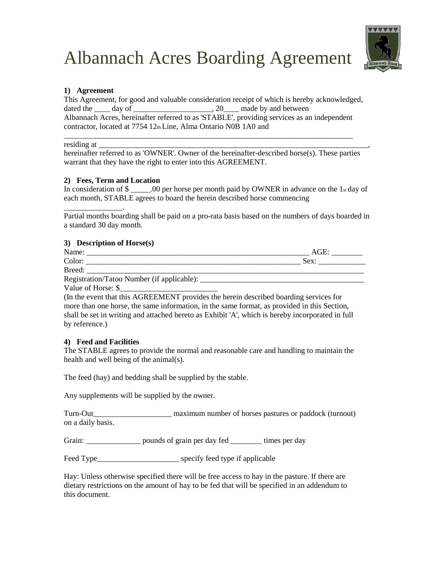

#### **1) Agreement**

This Agreement, for good and valuable consideration receipt of which is hereby acknowledged, dated the \_\_\_\_ day of \_\_\_\_\_\_\_\_\_\_\_\_\_\_\_\_\_\_\_, 20\_\_\_\_ made by and between Albannach Acres, hereinafter referred to as 'STABLE', providing services as an independent contractor, located at 7754 12th Line, Alma Ontario N0B 1A0 and

\_\_\_\_\_\_\_\_\_\_\_\_\_\_\_\_\_\_\_\_\_\_\_\_\_\_\_\_\_\_\_\_\_\_\_\_\_\_\_\_\_\_\_\_\_\_\_\_\_\_\_\_\_\_\_\_\_\_\_\_\_\_\_\_\_\_\_\_\_\_\_\_\_\_

residing at

hereinafter referred to as 'OWNER'. Owner of the hereinafter-described horse(s). These parties warrant that they have the right to enter into this AGREEMENT.

#### **2) Fees, Term and Location**

In consideration of  $\frac{1}{2}$  = 00 per horse per month paid by OWNER in advance on the 1st day of each month, STABLE agrees to board the herein described horse commencing

Partial months boarding shall be paid on a pro-rata basis based on the numbers of days boarded in a standard 30 day month.

#### **3) Description of Horse(s)**

| Name:                                      | $At$ i $F$ |
|--------------------------------------------|------------|
| Color:                                     | Sex:       |
| Breed:                                     |            |
| Registration/Tatoo Number (if applicable): |            |

Value of Horse: \$

\_\_\_\_\_\_\_\_\_\_\_\_\_\_\_.

(In the event that this AGREEMENT provides the herein described boarding services for more than one horse, the same information, in the same format, as provided in this Section, shall be set in writing and attached hereto as Exhibit 'A', which is hereby incorporated in full by reference.)

#### **4) Feed and Facilities**

The STABLE agrees to provide the normal and reasonable care and handling to maintain the health and well being of the animal(s).

The feed (hay) and bedding shall be supplied by the stable.

Any supplements will be supplied by the owner.

Turn-Out\_\_\_\_\_\_\_\_\_\_\_\_\_\_\_\_\_\_\_\_ maximum number of horses pastures or paddock (turnout) on a daily basis.

Grain: <u>\_\_\_\_\_\_\_\_\_\_\_\_</u> pounds of grain per day fed \_\_\_\_\_\_\_\_ times per day

Feed Type\_\_\_\_\_\_\_\_\_\_\_\_\_\_\_\_\_\_\_\_\_\_\_\_\_\_\_\_\_\_\_ specify feed type if applicable

Hay: Unless otherwise specified there will be free access to hay in the pasture. If there are dietary restrictions on the amount of hay to be fed that will be specified in an addendum to this document.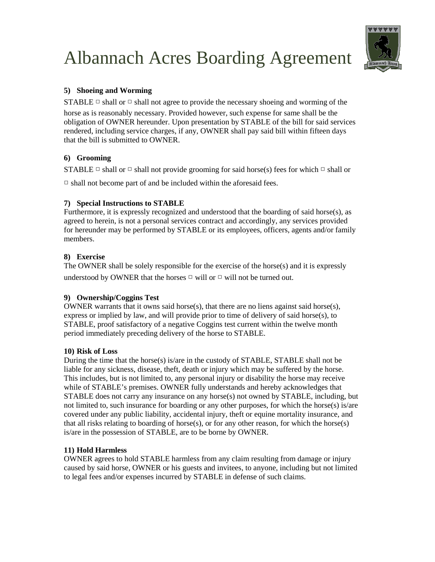

# **5) Shoeing and Worming**

STABLE  $\Box$  shall or  $\Box$  shall not agree to provide the necessary shoeing and worming of the horse as is reasonably necessary. Provided however, such expense for same shall be the obligation of OWNER hereunder. Upon presentation by STABLE of the bill for said services rendered, including service charges, if any, OWNER shall pay said bill within fifteen days that the bill is submitted to OWNER.

## **6) Grooming**

STABLE  $\Box$  shall or  $\Box$  shall not provide grooming for said horse(s) fees for which  $\Box$  shall or

 $\Box$  shall not become part of and be included within the aforesaid fees.

## **7) Special Instructions to STABLE**

Furthermore, it is expressly recognized and understood that the boarding of said horse $(s)$ , as agreed to herein, is not a personal services contract and accordingly, any services provided for hereunder may be performed by STABLE or its employees, officers, agents and/or family members.

# **8) Exercise**

The OWNER shall be solely responsible for the exercise of the horse(s) and it is expressly understood by OWNER that the horses  $\Box$  will or  $\Box$  will not be turned out.

#### **9) Ownership/Coggins Test**

OWNER warrants that it owns said horse(s), that there are no liens against said horse(s), express or implied by law, and will provide prior to time of delivery of said horse $(s)$ , to STABLE, proof satisfactory of a negative Coggins test current within the twelve month period immediately preceding delivery of the horse to STABLE.

# **10) Risk of Loss**

During the time that the horse(s) is/are in the custody of STABLE, STABLE shall not be liable for any sickness, disease, theft, death or injury which may be suffered by the horse. This includes, but is not limited to, any personal injury or disability the horse may receive while of STABLE's premises. OWNER fully understands and hereby acknowledges that STABLE does not carry any insurance on any horse(s) not owned by STABLE, including, but not limited to, such insurance for boarding or any other purposes, for which the horse(s) is/are covered under any public liability, accidental injury, theft or equine mortality insurance, and that all risks relating to boarding of horse(s), or for any other reason, for which the horse(s) is/are in the possession of STABLE, are to be borne by OWNER.

#### **11) Hold Harmless**

OWNER agrees to hold STABLE harmless from any claim resulting from damage or injury caused by said horse, OWNER or his guests and invitees, to anyone, including but not limited to legal fees and/or expenses incurred by STABLE in defense of such claims.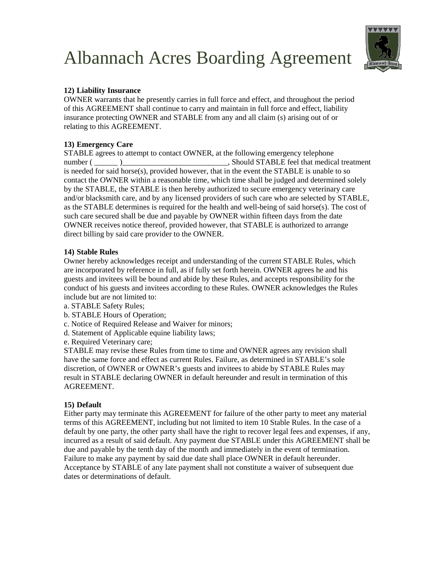

## **12) Liability Insurance**

OWNER warrants that he presently carries in full force and effect, and throughout the period of this AGREEMENT shall continue to carry and maintain in full force and effect, liability insurance protecting OWNER and STABLE from any and all claim (s) arising out of or relating to this AGREEMENT.

# **13) Emergency Care**

STABLE agrees to attempt to contact OWNER, at the following emergency telephone number ( \_\_\_\_\_\_ )\_\_\_\_\_\_\_\_\_\_\_\_\_\_\_\_\_\_\_\_\_\_\_\_\_\_\_, Should STABLE feel that medical treatment is needed for said horse(s), provided however, that in the event the STABLE is unable to so contact the OWNER within a reasonable time, which time shall be judged and determined solely by the STABLE, the STABLE is then hereby authorized to secure emergency veterinary care and/or blacksmith care, and by any licensed providers of such care who are selected by STABLE, as the STABLE determines is required for the health and well-being of said horse(s). The cost of such care secured shall be due and payable by OWNER within fifteen days from the date OWNER receives notice thereof, provided however, that STABLE is authorized to arrange direct billing by said care provider to the OWNER.

#### **14) Stable Rules**

Owner hereby acknowledges receipt and understanding of the current STABLE Rules, which are incorporated by reference in full, as if fully set forth herein. OWNER agrees he and his guests and invitees will be bound and abide by these Rules, and accepts responsibility for the conduct of his guests and invitees according to these Rules. OWNER acknowledges the Rules include but are not limited to:

- a. STABLE Safety Rules;
- b. STABLE Hours of Operation;
- c. Notice of Required Release and Waiver for minors;
- d. Statement of Applicable equine liability laws;
- e. Required Veterinary care;

STABLE may revise these Rules from time to time and OWNER agrees any revision shall have the same force and effect as current Rules. Failure, as determined in STABLE's sole discretion, of OWNER or OWNER's guests and invitees to abide by STABLE Rules may result in STABLE declaring OWNER in default hereunder and result in termination of this AGREEMENT.

#### **15) Default**

Either party may terminate this AGREEMENT for failure of the other party to meet any material terms of this AGREEMENT, including but not limited to item 10 Stable Rules. In the case of a default by one party, the other party shall have the right to recover legal fees and expenses, if any, incurred as a result of said default. Any payment due STABLE under this AGREEMENT shall be due and payable by the tenth day of the month and immediately in the event of termination. Failure to make any payment by said due date shall place OWNER in default hereunder. Acceptance by STABLE of any late payment shall not constitute a waiver of subsequent due dates or determinations of default.